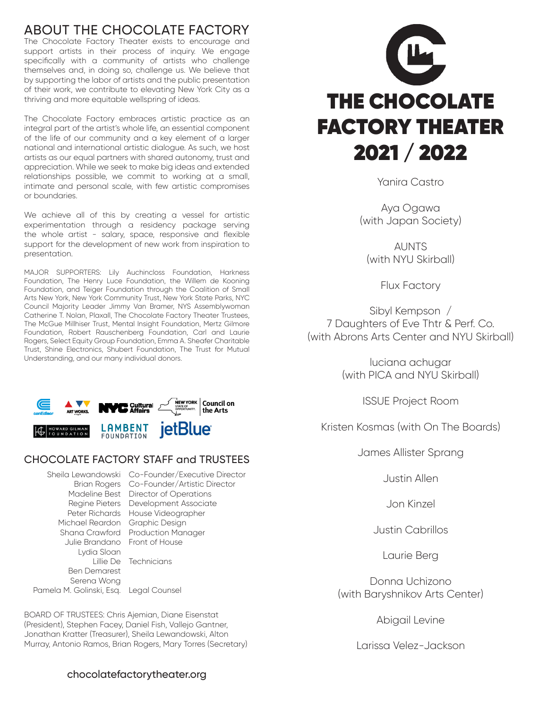# ABOUT THE CHOCOLATE FACTORY

The Chocolate Factory Theater exists to encourage and support artists in their process of inquiry. We engage specifically with a community of artists who challenge themselves and, in doing so, challenge us. We believe that by supporting the labor of artists and the public presentation of their work, we contribute to elevating New York City as a thriving and more equitable wellspring of ideas.

The Chocolate Factory embraces artistic practice as an integral part of the artist's whole life, an essential component of the life of our community and a key element of a larger national and international artistic dialogue. As such, we host artists as our equal partners with shared autonomy, trust and appreciation. While we seek to make big ideas and extended relationships possible, we commit to working at a small, intimate and personal scale, with few artistic compromises or boundaries.

We achieve all of this by creating a vessel for artistic experimentation through a residency package serving the whole artist - salary, space, responsive and flexible support for the development of new work from inspiration to presentation.

MAJOR SUPPORTERS: Lily Auchincloss Foundation, Harkness Foundation, The Henry Luce Foundation, the Willem de Kooning Foundation, and Teiger Foundation through the Coalition of Small Arts New York, New York Community Trust, New York State Parks, NYC Council Majority Leader Jimmy Van Bramer, NYS Assemblywoman Catherine T. Nolan, Plaxall, The Chocolate Factory Theater Trustees, The McGue Millhiser Trust, Mental Insight Foundation, Mertz Gilmore Foundation, Robert Rauschenberg Foundation, Carl and Laurie Rogers, Select Equity Group Foundation, Emma A. Sheafer Charitable Trust, Shine Electronics, Shubert Foundation, The Trust for Mutual Understanding, and our many individual donors.



### CHOCOLATE FACTORY STAFF and TRUSTEES

Michael Reardon Graphic Design Julie Brandano Front of House Lydia Sloan Lillie De Technicians Ben Demarest Serena Wong Pamela M. Golinski, Esq. Legal Counsel

Sheila Lewandowski Co-Founder/Executive Director Brian Rogers Co-Founder/Artistic Director Madeline Best Director of Operations Regine Pieters Development Associate Peter Richards House Videographer Shana Crawford Production Manager

BOARD OF TRUSTEES: Chris Ajemian, Diane Eisenstat (President), Stephen Facey, Daniel Fish, Vallejo Gantner, Jonathan Kratter (Treasurer), Sheila Lewandowski, Alton Murray, Antonio Ramos, Brian Rogers, Mary Torres (Secretary)





Yanira Castro

Aya Ogawa (with Japan Society)

**AUNTS** (with NYU Skirball)

Flux Factory

Sibyl Kempson / 7 Daughters of Eve Thtr & Perf. Co. (with Abrons Arts Center and NYU Skirball)

> luciana achugar (with PICA and NYU Skirball)

> > ISSUE Project Room

Kristen Kosmas (with On The Boards)

James Allister Sprang

Justin Allen

Jon Kinzel

Justin Cabrillos

Laurie Berg

Donna Uchizono (with Baryshnikov Arts Center)

Abigail Levine

Larissa Velez-Jackson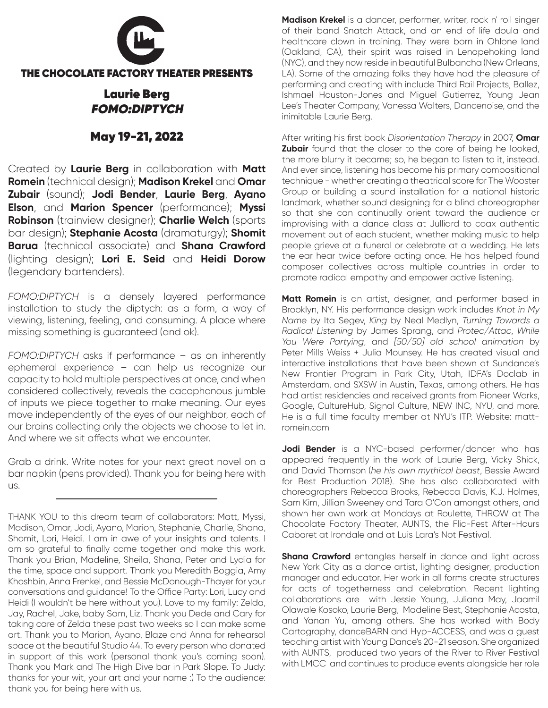

## Laurie Berg FOMO:DIPTYCH

### May 19-21, 2022

Created by **Laurie Berg** in collaboration with **Matt Romein** (technical design); **Madison Krekel** and **Omar Zubair** (sound); **Jodi Bender**, **Laurie Berg**, **Ayano Elson**, and **Marion Spencer** (performance); **Myssi Robinson** (trainview designer); **Charlie Welch** (sports bar design); **Stephanie Acosta** (dramaturgy); **Shomit Barua** (technical associate) and **Shana Crawford** (lighting design); **Lori E. Seid** and **Heidi Dorow** (legendary bartenders).

*FOMO:DIPTYCH* is a densely layered performance installation to study the diptych: as a form, a way of viewing, listening, feeling, and consuming. A place where missing something is guaranteed (and ok).

*FOMO:DIPTYCH* asks if performance – as an inherently ephemeral experience – can help us recognize our capacity to hold multiple perspectives at once, and when considered collectively, reveals the cacophonous jumble of inputs we piece together to make meaning. Our eyes move independently of the eyes of our neighbor, each of our brains collecting only the objects we choose to let in. And where we sit affects what we encounter.

Grab a drink. Write notes for your next great novel on a bar napkin (pens provided). Thank you for being here with us.

THANK YOU to this dream team of collaborators: Matt, Myssi, Madison, Omar, Jodi, Ayano, Marion, Stephanie, Charlie, Shana, Shomit, Lori, Heidi. I am in awe of your insights and talents. I am so grateful to finally come together and make this work. Thank you Brian, Madeline, Sheila, Shana, Peter and Lydia for the time, space and support. Thank you Meredith Boggia, Amy Khoshbin, Anna Frenkel, and Bessie McDonough-Thayer for your conversations and guidance! To the Office Party: Lori, Lucy and Heidi (I wouldn't be here without you). Love to my family: Zelda, Jay, Rachel, Jake, baby Sam, Liz. Thank you Dede and Cary for taking care of Zelda these past two weeks so I can make some art. Thank you to Marion, Ayano, Blaze and Anna for rehearsal space at the beautiful Studio 44. To every person who donated in support of this work (personal thank you's coming soon). Thank you Mark and The High Dive bar in Park Slope. To Judy: thanks for your wit, your art and your name :) To the audience: thank you for being here with us.

**Madison Krekel** is a dancer, performer, writer, rock n' roll singer of their band Snatch Attack, and an end of life doula and healthcare clown in training. They were born in Ohlone land (Oakland, CA), their spirit was raised in Lenapehoking land (NYC), and they now reside in beautiful Bulbancha (New Orleans, LA). Some of the amazing folks they have had the pleasure of performing and creating with include Third Rail Projects, Ballez, Ishmael Houston-Jones and Miguel Gutierrez, Young Jean Lee's Theater Company, Vanessa Walters, Dancenoise, and the inimitable Laurie Berg.

After writing his first book *Disorientation Therapy* in 2007, **Omar Zubair** found that the closer to the core of being he looked, the more blurry it became; so, he began to listen to it, instead. And ever since, listening has become his primary compositional technique - whether creating a theatrical score for The Wooster Group or building a sound installation for a national historic landmark, whether sound designing for a blind choreographer so that she can continually orient toward the audience or improvising with a dance class at Julliard to coax authentic movement out of each student, whether making music to help people grieve at a funeral or celebrate at a wedding. He lets the ear hear twice before acting once. He has helped found composer collectives across multiple countries in order to promote radical empathy and empower active listening.

**Matt Romein** is an artist, designer, and performer based in Brooklyn, NY. His performance design work includes *Knot in My Name* by Ita Segev, *King* by Neal Medlyn, *Turning Towards a Radical Listening* by James Sprang, and *Protec/Attac*, *While You Were Partying*, and *[50/50] old school animation* by Peter Mills Weiss + Julia Mounsey. He has created visual and interactive installations that have been shown at Sundance's New Frontier Program in Park City, Utah, IDFA's Doclab in Amsterdam, and SXSW in Austin, Texas, among others. He has had artist residencies and received grants from Pioneer Works, Google, CultureHub, Signal Culture, NEW INC, NYU, and more. He is a full time faculty member at NYU's ITP. Website: mattromein.com

**Jodi Bender** is a NYC-based performer/dancer who has appeared frequently in the work of Laurie Berg, Vicky Shick, and David Thomson (*he his own mythical beast*, Bessie Award for Best Production 2018). She has also collaborated with choreographers Rebecca Brooks, Rebecca Davis, K.J. Holmes, Sam Kim, Jillian Sweeney and Tara O'Con amongst others, and shown her own work at Mondays at Roulette, THROW at The Chocolate Factory Theater, AUNTS, the Flic-Fest After-Hours Cabaret at Irondale and at Luis Lara's Not Festival.

**Shana Crawford** entangles herself in dance and light across New York City as a dance artist, lighting designer, production manager and educator. Her work in all forms create structures for acts of togetherness and celebration. Recent lighting collaborations are with Jessie Young, Juliana May, Jaamil Olawale Kosoko, Laurie Berg, Madeline Best, Stephanie Acosta, and Yanan Yu, among others. She has worked with Body Cartography, danceBARN and Hyp-ACCESS, and was a guest teaching artist with Young Dance's 20-21 season. She organized with AUNTS, produced two years of the River to River Festival with LMCC and continues to produce events alongside her role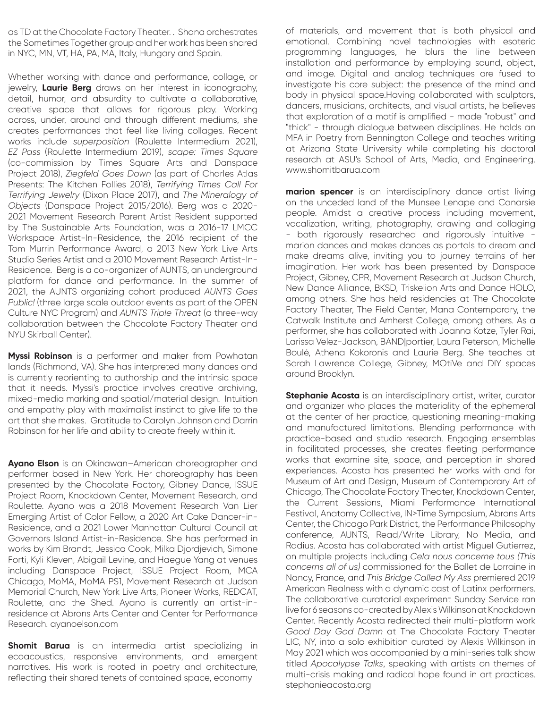as TD at the Chocolate Factory Theater. . Shana orchestrates the Sometimes Together group and her work has been shared in NYC, MN, VT, HA, PA, MA, Italy, Hungary and Spain.

Whether working with dance and performance, collage, or jewelry, **Laurie Berg** draws on her interest in iconography, detail, humor, and absurdity to cultivate a collaborative, creative space that allows for rigorous play. Working across, under, around and through different mediums, she creates performances that feel like living collages. Recent works include *superposition* (Roulette Intermedium 2021), *EZ Pass* (Roulette Intermedium 2019), *scape: Times Square*  (co-commission by Times Square Arts and Danspace Project 2018), *Ziegfeld Goes Down* (as part of Charles Atlas Presents: The Kitchen Follies 2018), *Terrifying Times Call For Terrifying Jewelry* (Dixon Place 2017), and *The Mineralogy of Objects* (Danspace Project 2015/2016). Berg was a 2020- 2021 Movement Research Parent Artist Resident supported by The Sustainable Arts Foundation, was a 2016-17 LMCC Workspace Artist-In-Residence, the 2016 recipient of the Tom Murrin Performance Award, a 2013 New York Live Arts Studio Series Artist and a 2010 Movement Research Artist-In-Residence. Berg is a co-organizer of AUNTS, an underground platform for dance and performance. In the summer of 2021, the AUNTS organizing cohort produced *AUNTS Goes Public!* (three large scale outdoor events as part of the OPEN Culture NYC Program) and *AUNTS Triple Threat* (a three-way collaboration between the Chocolate Factory Theater and NYU Skirball Center).

**Myssi Robinson** is a performer and maker from Powhatan lands (Richmond, VA). She has interpreted many dances and is currently reorienting to authorship and the intrinsic space that it needs. Myssi's practice involves creative archiving, mixed-media marking and spatial/material design. Intuition and empathy play with maximalist instinct to give life to the art that she makes. Gratitude to Carolyn Johnson and Darrin Robinson for her life and ability to create freely within it.

**Ayano Elson** is an Okinawan–American choreographer and performer based in New York. Her choreography has been presented by the Chocolate Factory, Gibney Dance, ISSUE Project Room, Knockdown Center, Movement Research, and Roulette. Ayano was a 2018 Movement Research Van Lier Emerging Artist of Color Fellow, a 2020 Art Cake Dancer-in-Residence, and a 2021 Lower Manhattan Cultural Council at Governors Island Artist-in-Residence. She has performed in works by Kim Brandt, Jessica Cook, Milka Djordjevich, Simone Forti, Kyli Kleven, Abigail Levine, and Haegue Yang at venues including Danspace Project, ISSUE Project Room, MCA Chicago, MoMA, MoMA PS1, Movement Research at Judson Memorial Church, New York Live Arts, Pioneer Works, REDCAT, Roulette, and the Shed. Ayano is currently an artist-inresidence at Abrons Arts Center and Center for Performance Research. ayanoelson.com

**Shomit Barua** is an intermedia artist specializing in ecoacoustics, responsive environments, and emergent narratives. His work is rooted in poetry and architecture, reflecting their shared tenets of contained space, economy

of materials, and movement that is both physical and emotional. Combining novel technologies with esoteric programming languages, he blurs the line between installation and performance by employing sound, object, and image. Digital and analog techniques are fused to investigate his core subject: the presence of the mind and body in physical space.Having collaborated with sculptors, dancers, musicians, architects, and visual artists, he believes that exploration of a motif is amplified - made "robust" and "thick" - through dialogue between disciplines. He holds an MFA in Poetry from Bennington College and teaches writing at Arizona State University while completing his doctoral research at ASU's School of Arts, Media, and Engineering. www.shomitbarua.com

**marion spencer** is an interdisciplinary dance artist living on the unceded land of the Munsee Lenape and Canarsie people. Amidst a creative process including movement, vocalization, writing, photography, drawing and collaging - both rigorously researched and rigorously intuitive marion dances and makes dances as portals to dream and make dreams alive, inviting you to journey terrains of her imagination. Her work has been presented by Danspace Project, Gibney, CPR, Movement Research at Judson Church, New Dance Alliance, BKSD, Triskelion Arts and Dance HOLO, among others. She has held residencies at The Chocolate Factory Theater, The Field Center, Mana Contemporary, the Catwalk Institute and Amherst College, among others. As a performer, she has collaborated with Joanna Kotze, Tyler Rai, Larissa Velez-Jackson, BAND|portier, Laura Peterson, Michelle Boulé, Athena Kokoronis and Laurie Berg. She teaches at Sarah Lawrence College, Gibney, MOtiVe and DIY spaces around Brooklyn.

**Stephanie Acosta** is an interdisciplinary artist, writer, curator and organizer who places the materiality of the ephemeral at the center of her practice, questioning meaning-making and manufactured limitations. Blending performance with practice-based and studio research. Engaging ensembles in facilitated processes, she creates fleeting performance works that examine site, space, and perception in shared experiences. Acosta has presented her works with and for Museum of Art and Design, Museum of Contemporary Art of Chicago, The Chocolate Factory Theater, Knockdown Center, the Current Sessions, Miami Performance International Festival, Anatomy Collective, IN>Time Symposium, Abrons Arts Center, the Chicago Park District, the Performance Philosophy conference, AUNTS, Read/Write Library, No Media, and Radius. Acosta has collaborated with artist Miguel Gutierrez, on multiple projects including *Cela nous concerne tous (This concerns all of us)* commissioned for the Ballet de Lorraine in Nancy, France, and *This Bridge Called My Ass* premiered 2019 American Realness with a dynamic cast of Latinx performers. The collaborative curatorial experiment Sunday Service ran live for 6 seasons co-created by Alexis Wilkinson at Knockdown Center. Recently Acosta redirected their multi-platform work *Good Day God Damn* at The Chocolate Factory Theater LIC, NY, into a solo exhibition curated by Alexis Wilkinson in May 2021 which was accompanied by a mini-series talk show titled *Apocalypse Talks*, speaking with artists on themes of multi-crisis making and radical hope found in art practices. stephanieacosta.org